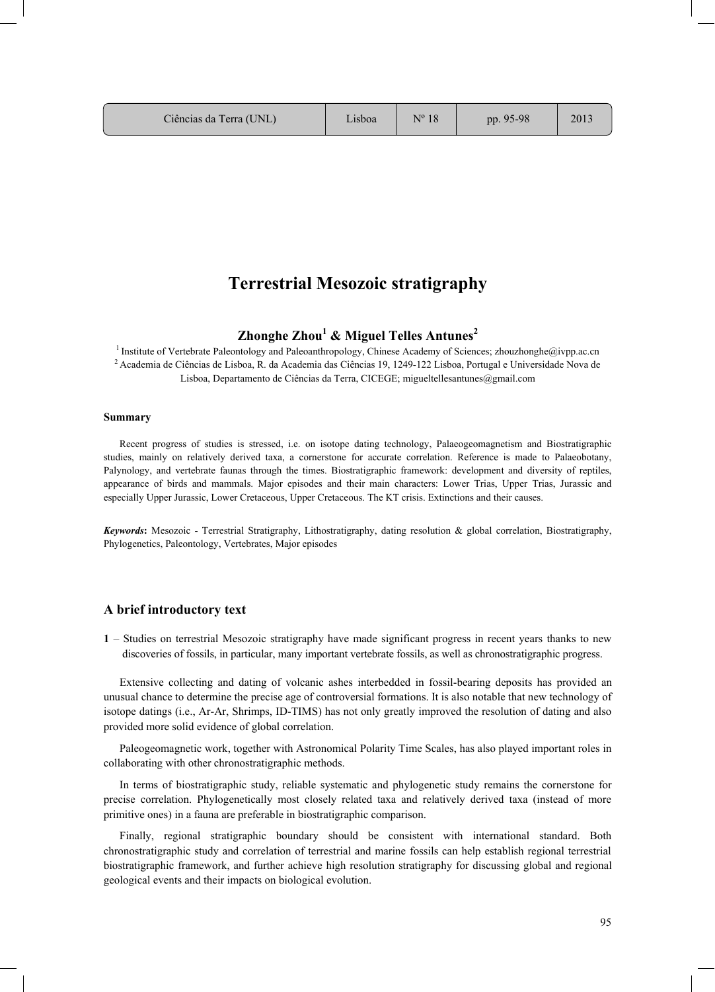### **Terrestrial Mesozoic stratigraphy**   $\sim$  0.000  $\mu$  1.116, 2013  $\mu$  1.116, 2013  $\mu$  1.1<sub>1</sub>

# **Zhonghe Zhou1 & Miguel Telles Antunes2**

<sup>1</sup> Institute of Vertebrate Paleontology and Paleoanthropology, Chinese Academy of Sciences; zhouzhonghe@ivpp.ac.cn 2 Academia de Ciências de Lisboa, R. da Academia das Ciências 19, 1249-122 Lisboa, Portugal e Universidade Nova de Lisboa, Departamento de Ciências da Terra, CICEGE; migueltellesantunes@gmail.com

#### **Summary**

Recent progress of studies is stressed, i.e. on isotope dating technology, Palaeogeomagnetism and Biostratigraphic studies, mainly on relatively derived taxa, a cornerstone for accurate correlation. Reference is made to Palaeobotany, Palynology, and vertebrate faunas through the times. Biostratigraphic framework: development and diversity of reptiles, appearance of birds and mammals. Major episodes and their main characters: Lower Trias, Upper Trias, Jurassic and especially Upper Jurassic, Lower Cretaceous, Upper Cretaceous. The KT crisis. Extinctions and their causes.

*Keywords***:** Mesozoic - Terrestrial Stratigraphy, Lithostratigraphy, dating resolution & global correlation, Biostratigraphy, Phylogenetics, Paleontology, Vertebrates, Major episodes

## **A brief introductory text**

**1** – Studies on terrestrial Mesozoic stratigraphy have made significant progress in recent years thanks to new discoveries of fossils, in particular, many important vertebrate fossils, as well as chronostratigraphic progress.

Extensive collecting and dating of volcanic ashes interbedded in fossil-bearing deposits has provided an unusual chance to determine the precise age of controversial formations. It is also notable that new technology of isotope datings (i.e., Ar-Ar, Shrimps, ID-TIMS) has not only greatly improved the resolution of dating and also provided more solid evidence of global correlation.

Paleogeomagnetic work, together with Astronomical Polarity Time Scales, has also played important roles in collaborating with other chronostratigraphic methods.

In terms of biostratigraphic study, reliable systematic and phylogenetic study remains the cornerstone for precise correlation. Phylogenetically most closely related taxa and relatively derived taxa (instead of more primitive ones) in a fauna are preferable in biostratigraphic comparison.

Finally, regional stratigraphic boundary should be consistent with international standard. Both chronostratigraphic study and correlation of terrestrial and marine fossils can help establish regional terrestrial biostratigraphic framework, and further achieve high resolution stratigraphy for discussing global and regional geological events and their impacts on biological evolution.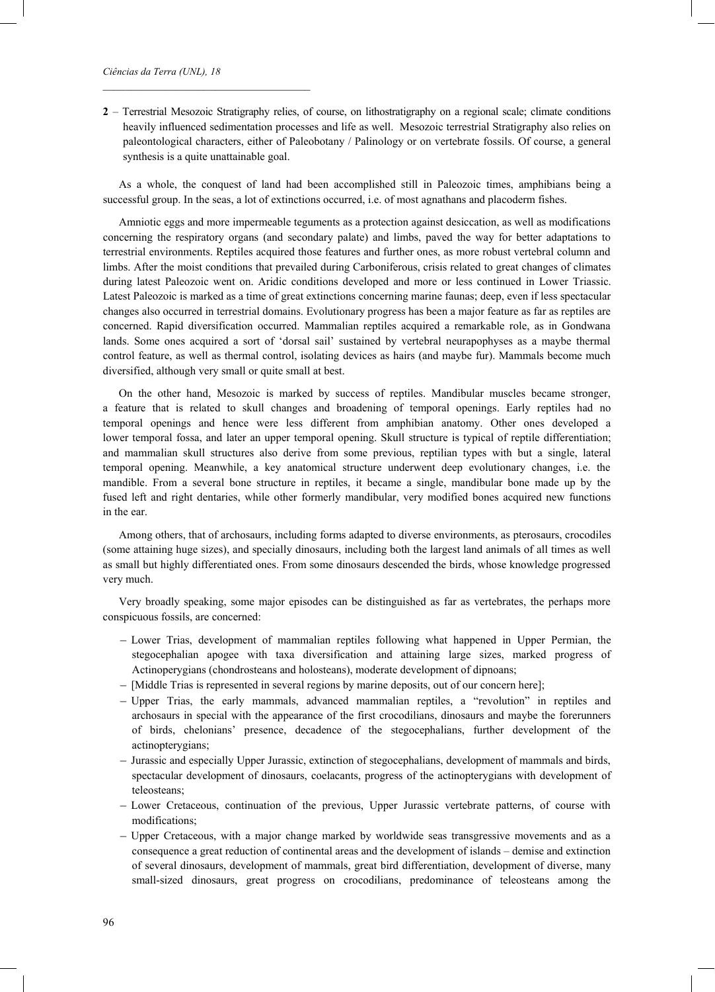\_\_\_\_\_\_\_\_\_\_\_\_\_\_\_\_\_\_\_\_\_\_\_\_\_\_\_\_\_\_\_\_\_\_\_\_\_

**2** – Terrestrial Mesozoic Stratigraphy relies, of course, on lithostratigraphy on a regional scale; climate conditions heavily influenced sedimentation processes and life as well. Mesozoic terrestrial Stratigraphy also relies on paleontological characters, either of Paleobotany / Palinology or on vertebrate fossils. Of course, a general synthesis is a quite unattainable goal.

As a whole, the conquest of land had been accomplished still in Paleozoic times, amphibians being a successful group. In the seas, a lot of extinctions occurred, i.e. of most agnathans and placoderm fishes.

Amniotic eggs and more impermeable teguments as a protection against desiccation, as well as modifications concerning the respiratory organs (and secondary palate) and limbs, paved the way for better adaptations to terrestrial environments. Reptiles acquired those features and further ones, as more robust vertebral column and limbs. After the moist conditions that prevailed during Carboniferous, crisis related to great changes of climates during latest Paleozoic went on. Aridic conditions developed and more or less continued in Lower Triassic. Latest Paleozoic is marked as a time of great extinctions concerning marine faunas; deep, even if less spectacular changes also occurred in terrestrial domains. Evolutionary progress has been a major feature as far as reptiles are concerned. Rapid diversification occurred. Mammalian reptiles acquired a remarkable role, as in Gondwana lands. Some ones acquired a sort of 'dorsal sail' sustained by vertebral neurapophyses as a maybe thermal control feature, as well as thermal control, isolating devices as hairs (and maybe fur). Mammals become much diversified, although very small or quite small at best.

On the other hand, Mesozoic is marked by success of reptiles. Mandibular muscles became stronger, a feature that is related to skull changes and broadening of temporal openings. Early reptiles had no temporal openings and hence were less different from amphibian anatomy. Other ones developed a lower temporal fossa, and later an upper temporal opening. Skull structure is typical of reptile differentiation; and mammalian skull structures also derive from some previous, reptilian types with but a single, lateral temporal opening. Meanwhile, a key anatomical structure underwent deep evolutionary changes, i.e. the mandible. From a several bone structure in reptiles, it became a single, mandibular bone made up by the fused left and right dentaries, while other formerly mandibular, very modified bones acquired new functions in the ear.

Among others, that of archosaurs, including forms adapted to diverse environments, as pterosaurs, crocodiles (some attaining huge sizes), and specially dinosaurs, including both the largest land animals of all times as well as small but highly differentiated ones. From some dinosaurs descended the birds, whose knowledge progressed very much.

Very broadly speaking, some major episodes can be distinguished as far as vertebrates, the perhaps more conspicuous fossils, are concerned:

- Lower Trias, development of mammalian reptiles following what happened in Upper Permian, the stegocephalian apogee with taxa diversification and attaining large sizes, marked progress of Actinoperygians (chondrosteans and holosteans), moderate development of dipnoans;
- [Middle Trias is represented in several regions by marine deposits, out of our concern here];
- Upper Trias, the early mammals, advanced mammalian reptiles, a "revolution" in reptiles and archosaurs in special with the appearance of the first crocodilians, dinosaurs and maybe the forerunners of birds, chelonians' presence, decadence of the stegocephalians, further development of the actinopterygians;
- Jurassic and especially Upper Jurassic, extinction of stegocephalians, development of mammals and birds, spectacular development of dinosaurs, coelacants, progress of the actinopterygians with development of teleosteans;
- Lower Cretaceous, continuation of the previous, Upper Jurassic vertebrate patterns, of course with modifications;
- Upper Cretaceous, with a major change marked by worldwide seas transgressive movements and as a consequence a great reduction of continental areas and the development of islands – demise and extinction of several dinosaurs, development of mammals, great bird differentiation, development of diverse, many small-sized dinosaurs, great progress on crocodilians, predominance of teleosteans among the